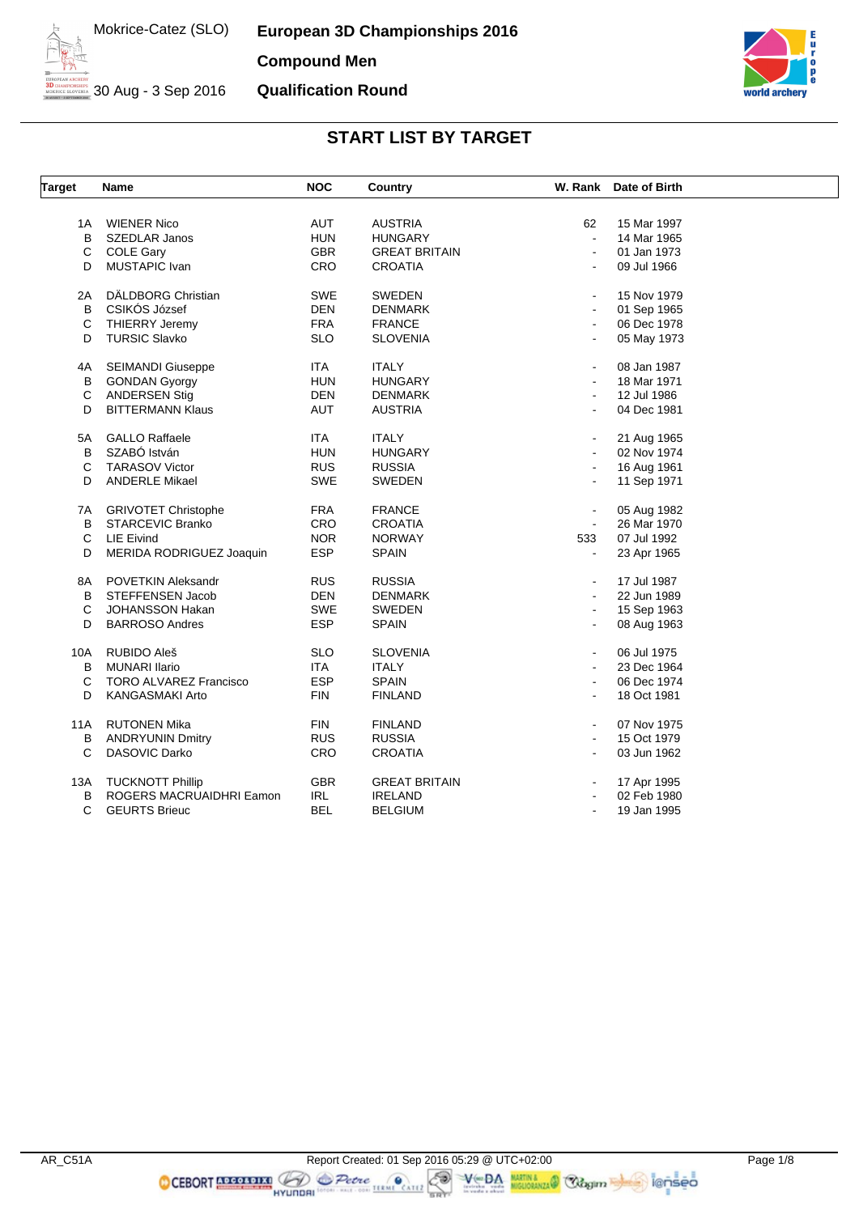**European 3D Championships 2016 Compound Men Qualification Round**



30 Aug - 3 Sep 2016

# **START LIST BY TARGET**

| <b>Target</b> | <b>Name</b>                   | <b>NOC</b> | Country              |                       | W. Rank Date of Birth |
|---------------|-------------------------------|------------|----------------------|-----------------------|-----------------------|
|               |                               |            |                      |                       |                       |
| 1A            | <b>WIENER Nico</b>            | AUT        | <b>AUSTRIA</b>       | 62                    | 15 Mar 1997           |
| B             | SZEDLAR Janos                 | <b>HUN</b> | <b>HUNGARY</b>       | $\sim$                | 14 Mar 1965           |
| C             | <b>COLE Gary</b>              | <b>GBR</b> | <b>GREAT BRITAIN</b> | $\blacksquare$        | 01 Jan 1973           |
| D             | MUSTAPIC Ivan                 | CRO        | <b>CROATIA</b>       | $\blacksquare$        | 09 Jul 1966           |
| 2A            | DÄLDBORG Christian            | <b>SWE</b> | <b>SWEDEN</b>        |                       | 15 Nov 1979           |
| B             | CSIKÓS József                 | <b>DEN</b> | <b>DENMARK</b>       | $\blacksquare$        | 01 Sep 1965           |
| C             | <b>THIERRY Jeremy</b>         | <b>FRA</b> | <b>FRANCE</b>        |                       | 06 Dec 1978           |
| D             | <b>TURSIC Slavko</b>          | <b>SLO</b> | <b>SLOVENIA</b>      | $\blacksquare$        | 05 May 1973           |
| 4A            | <b>SEIMANDI Giuseppe</b>      | <b>ITA</b> | <b>ITALY</b>         | $\blacksquare$        | 08 Jan 1987           |
| B             | <b>GONDAN Gyorgy</b>          | <b>HUN</b> | <b>HUNGARY</b>       | $\blacksquare$        | 18 Mar 1971           |
| C             | <b>ANDERSEN Stig</b>          | <b>DEN</b> | <b>DENMARK</b>       | $\blacksquare$        | 12 Jul 1986           |
| D             | <b>BITTERMANN Klaus</b>       | <b>AUT</b> | <b>AUSTRIA</b>       |                       | 04 Dec 1981           |
| 5A            | <b>GALLO Raffaele</b>         | <b>ITA</b> | <b>ITALY</b>         | $\blacksquare$        | 21 Aug 1965           |
| B             | SZABÓ István                  | <b>HUN</b> | <b>HUNGARY</b>       | $\sim$                | 02 Nov 1974           |
| $\mathbf C$   | <b>TARASOV Victor</b>         | <b>RUS</b> | <b>RUSSIA</b>        |                       | 16 Aug 1961           |
| D             | <b>ANDERLE Mikael</b>         | <b>SWE</b> | <b>SWEDEN</b>        | $\blacksquare$        | 11 Sep 1971           |
|               |                               |            |                      |                       |                       |
| 7A            | <b>GRIVOTET Christophe</b>    | <b>FRA</b> | <b>FRANCE</b>        |                       | 05 Aug 1982           |
| B             | <b>STARCEVIC Branko</b>       | CRO        | <b>CROATIA</b>       | $\blacksquare$        | 26 Mar 1970           |
| C             | LIE Eivind                    | <b>NOR</b> | <b>NORWAY</b>        | 533                   | 07 Jul 1992           |
| D             | MERIDA RODRIGUEZ Joaquin      | <b>ESP</b> | <b>SPAIN</b>         |                       | 23 Apr 1965           |
| 8A            | POVETKIN Aleksandr            | <b>RUS</b> | <b>RUSSIA</b>        |                       | 17 Jul 1987           |
| B             | STEFFENSEN Jacob              | <b>DEN</b> | <b>DENMARK</b>       | $\blacksquare$        | 22 Jun 1989           |
| C             | JOHANSSON Hakan               | <b>SWE</b> | SWEDEN               | $\blacksquare$        | 15 Sep 1963           |
| D             | <b>BARROSO Andres</b>         | <b>ESP</b> | <b>SPAIN</b>         | $\blacksquare$        | 08 Aug 1963           |
|               |                               |            |                      |                       |                       |
| 10A           | RUBIDO Aleš                   | <b>SLO</b> | <b>SLOVENIA</b>      |                       | 06 Jul 1975           |
| В             | <b>MUNARI Ilario</b>          | <b>ITA</b> | <b>ITALY</b>         | $\blacksquare$        | 23 Dec 1964           |
| C             | <b>TORO ALVAREZ Francisco</b> | <b>ESP</b> | <b>SPAIN</b>         | $\sim$                | 06 Dec 1974           |
| D             | KANGASMAKI Arto               | <b>FIN</b> | <b>FINLAND</b>       | $\sim$                | 18 Oct 1981           |
| 11A           | <b>RUTONEN Mika</b>           | <b>FIN</b> | <b>FINLAND</b>       | $\blacksquare$        | 07 Nov 1975           |
| B             | <b>ANDRYUNIN Dmitry</b>       | <b>RUS</b> | <b>RUSSIA</b>        | $\mathbf{r}$          | 15 Oct 1979           |
| C             | DASOVIC Darko                 | CRO        | <b>CROATIA</b>       | $\blacksquare$        | 03 Jun 1962           |
| 13A           | <b>TUCKNOTT Phillip</b>       | <b>GBR</b> | <b>GREAT BRITAIN</b> |                       | 17 Apr 1995           |
| В             | ROGERS MACRUAIDHRI Eamon      | <b>IRL</b> | <b>IRELAND</b>       | $\tilde{\phantom{a}}$ | 02 Feb 1980           |
| C             | <b>GEURTS Brieuc</b>          | <b>BEL</b> | <b>BELGIUM</b>       | $\blacksquare$        | 19 Jan 1995           |
|               |                               |            |                      |                       |                       |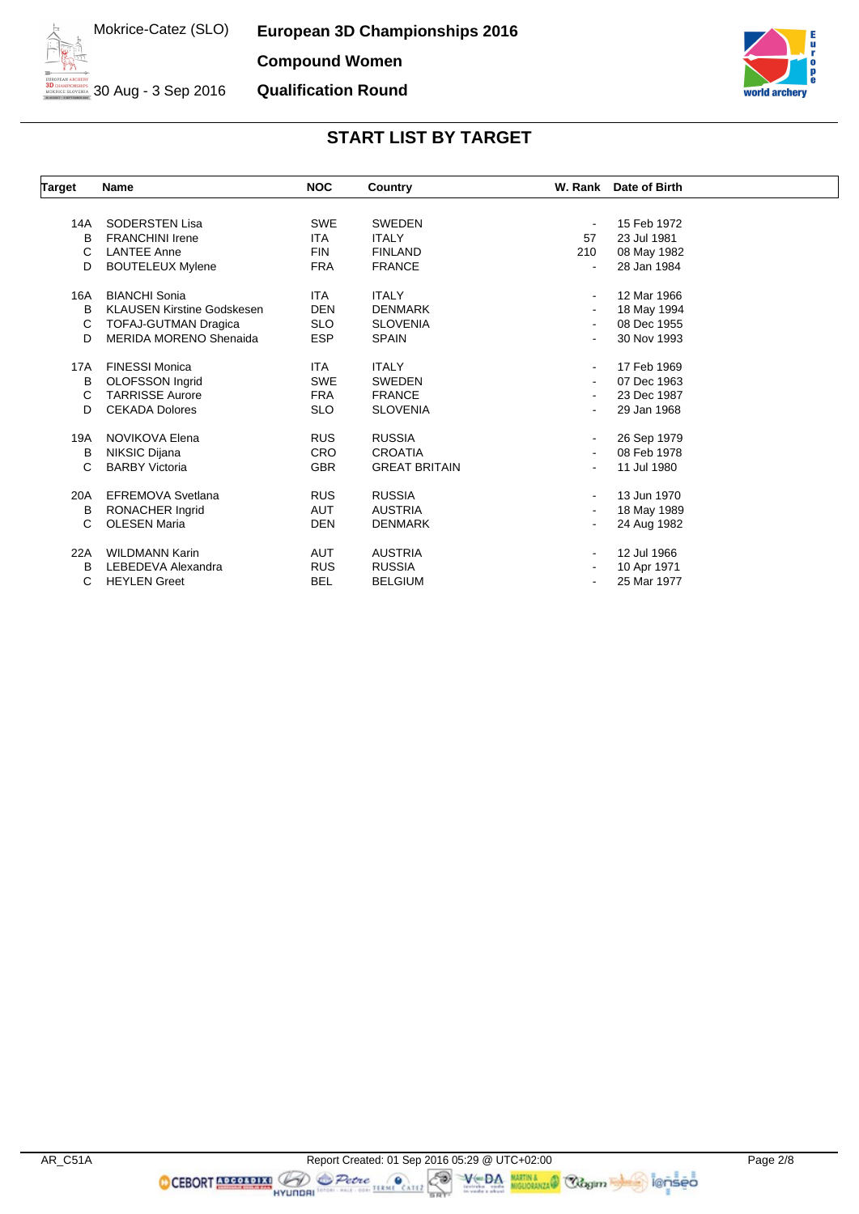**European 3D Championships 2016 Compound Women Qualification Round**



# 30 Aug - 3 Sep 2016

| <b>Target</b> | <b>Name</b>                       | <b>NOC</b> | Country              |     | W. Rank Date of Birth |  |
|---------------|-----------------------------------|------------|----------------------|-----|-----------------------|--|
|               |                                   |            |                      |     |                       |  |
| 14A           | <b>SODERSTEN Lisa</b>             | <b>SWE</b> | <b>SWEDEN</b>        |     | 15 Feb 1972           |  |
| B             | <b>FRANCHINI Irene</b>            | <b>ITA</b> | <b>ITALY</b>         | 57  | 23 Jul 1981           |  |
| C             | <b>LANTEE Anne</b>                | <b>FIN</b> | <b>FINLAND</b>       | 210 | 08 May 1982           |  |
| D             | <b>BOUTELEUX Mylene</b>           | <b>FRA</b> | <b>FRANCE</b>        |     | 28 Jan 1984           |  |
| 16A           | <b>BIANCHI Sonia</b>              | <b>ITA</b> | <b>ITALY</b>         |     | 12 Mar 1966           |  |
| B             | <b>KLAUSEN Kirstine Godskesen</b> | <b>DEN</b> | <b>DENMARK</b>       |     | 18 May 1994           |  |
| C             | <b>TOFAJ-GUTMAN Dragica</b>       | <b>SLO</b> | <b>SLOVENIA</b>      |     | 08 Dec 1955           |  |
| D             | <b>MERIDA MORENO Shenaida</b>     | <b>ESP</b> | <b>SPAIN</b>         |     | 30 Nov 1993           |  |
| 17A           | <b>FINESSI Monica</b>             | <b>ITA</b> | <b>ITALY</b>         |     | 17 Feb 1969           |  |
| B             | <b>OLOFSSON</b> Ingrid            | <b>SWE</b> | <b>SWEDEN</b>        |     | 07 Dec 1963           |  |
| C             | <b>TARRISSE Aurore</b>            | <b>FRA</b> | <b>FRANCE</b>        |     | 23 Dec 1987           |  |
| D             | <b>CEKADA Dolores</b>             | <b>SLO</b> | <b>SLOVENIA</b>      |     | 29 Jan 1968           |  |
| 19A           | NOVIKOVA Elena                    | <b>RUS</b> | <b>RUSSIA</b>        |     | 26 Sep 1979           |  |
| B             | NIKSIC Dijana                     | <b>CRO</b> | <b>CROATIA</b>       |     | 08 Feb 1978           |  |
| C             | <b>BARBY Victoria</b>             | <b>GBR</b> | <b>GREAT BRITAIN</b> |     | 11 Jul 1980           |  |
| 20A           | <b>EFREMOVA Svetlana</b>          | <b>RUS</b> | <b>RUSSIA</b>        |     | 13 Jun 1970           |  |
| В             | RONACHER Ingrid                   | AUT        | <b>AUSTRIA</b>       |     | 18 May 1989           |  |
| C             | <b>OLESEN Maria</b>               | <b>DEN</b> | <b>DENMARK</b>       |     | 24 Aug 1982           |  |
| 22A           | <b>WILDMANN Karin</b>             | AUT        | <b>AUSTRIA</b>       |     | 12 Jul 1966           |  |
| B             | LEBEDEVA Alexandra                | <b>RUS</b> | <b>RUSSIA</b>        |     | 10 Apr 1971           |  |
| C             | <b>HEYLEN Greet</b>               | <b>BEL</b> | <b>BELGIUM</b>       |     | 25 Mar 1977           |  |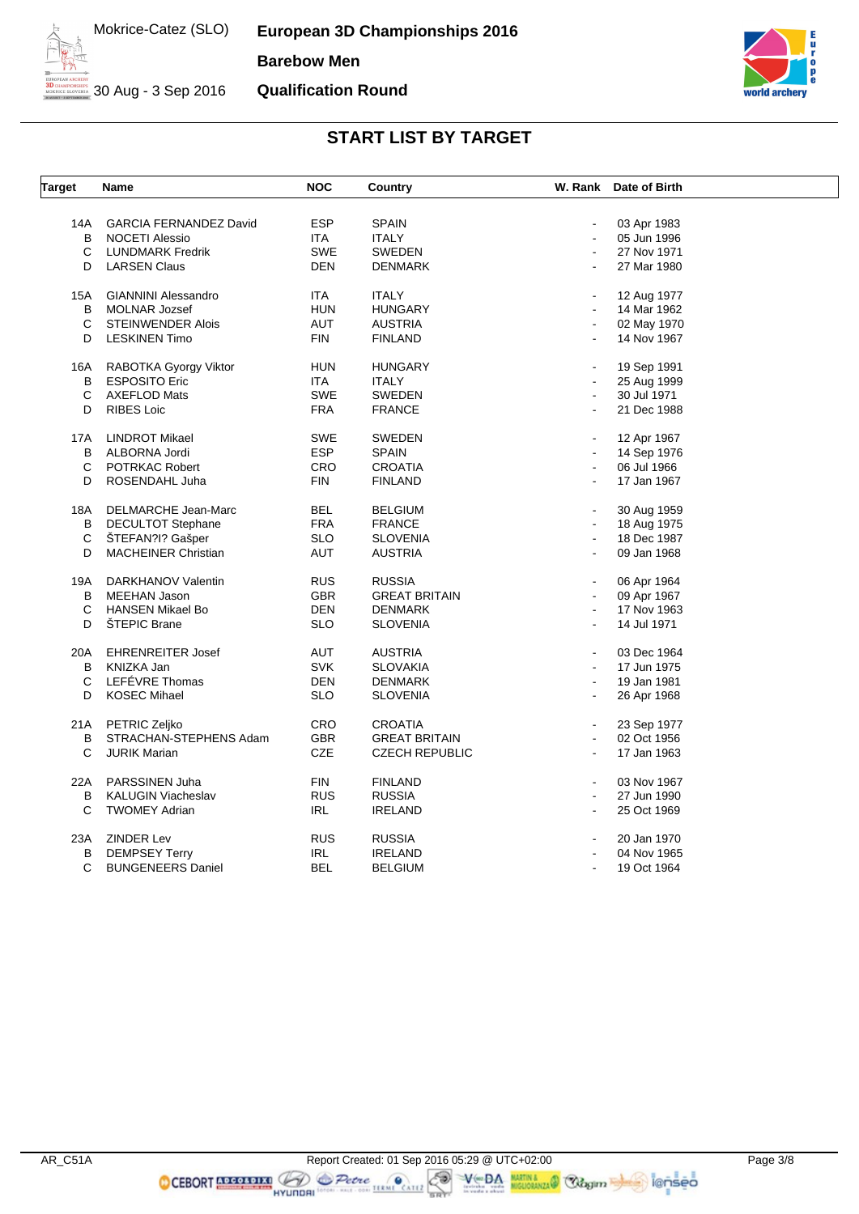**European 3D Championships 2016 Barebow Men Qualification Round**

30 Aug - 3 Sep 2016



#### **START LIST BY TARGET**

| <b>Target</b> | Name                                   | <b>NOC</b> | <b>Country</b>        |                | W. Rank Date of Birth |  |
|---------------|----------------------------------------|------------|-----------------------|----------------|-----------------------|--|
|               |                                        |            |                       |                |                       |  |
| 14A           | <b>GARCIA FERNANDEZ David</b>          | <b>ESP</b> | <b>SPAIN</b>          |                | 03 Apr 1983           |  |
| B             | <b>NOCETI Alessio</b>                  | <b>ITA</b> | <b>ITALY</b>          | $\blacksquare$ | 05 Jun 1996           |  |
| С             | <b>LUNDMARK Fredrik</b>                | <b>SWE</b> | <b>SWEDEN</b>         |                | 27 Nov 1971           |  |
| D             | <b>LARSEN Claus</b>                    | <b>DEN</b> | <b>DENMARK</b>        |                | 27 Mar 1980           |  |
| 15A           | <b>GIANNINI Alessandro</b>             | <b>ITA</b> | <b>ITALY</b>          | $\blacksquare$ | 12 Aug 1977           |  |
| в             | <b>MOLNAR Jozsef</b>                   | <b>HUN</b> | <b>HUNGARY</b>        |                | 14 Mar 1962           |  |
| C             | <b>STEINWENDER Alois</b>               | <b>AUT</b> | <b>AUSTRIA</b>        | $\blacksquare$ | 02 May 1970           |  |
| D             | <b>LESKINEN Timo</b>                   | <b>FIN</b> | <b>FINLAND</b>        |                | 14 Nov 1967           |  |
| 16A           | RABOTKA Gyorgy Viktor                  | <b>HUN</b> | <b>HUNGARY</b>        |                | 19 Sep 1991           |  |
| B             | <b>ESPOSITO Eric</b>                   | <b>ITA</b> | <b>ITALY</b>          |                | 25 Aug 1999           |  |
| C             | <b>AXEFLOD Mats</b>                    | <b>SWE</b> | <b>SWEDEN</b>         |                | 30 Jul 1971           |  |
| D             | <b>RIBES Loic</b>                      | <b>FRA</b> | <b>FRANCE</b>         |                | 21 Dec 1988           |  |
| 17A           | <b>LINDROT Mikael</b>                  | SWE        | <b>SWEDEN</b>         |                | 12 Apr 1967           |  |
| В             | ALBORNA Jordi                          | <b>ESP</b> | <b>SPAIN</b>          | $\blacksquare$ | 14 Sep 1976           |  |
| С             | POTRKAC Robert                         | <b>CRO</b> | <b>CROATIA</b>        | $\blacksquare$ | 06 Jul 1966           |  |
| D             | ROSENDAHL Juha                         | <b>FIN</b> | <b>FINLAND</b>        | $\blacksquare$ | 17 Jan 1967           |  |
|               |                                        |            |                       |                |                       |  |
| 18A           | DELMARCHE Jean-Marc                    | <b>BEL</b> | <b>BELGIUM</b>        |                | 30 Aug 1959           |  |
| В             | <b>DECULTOT Stephane</b>               | <b>FRA</b> | <b>FRANCE</b>         |                | 18 Aug 1975           |  |
| $\mathbf C$   | ŠTEFAN?I? Gašper                       | <b>SLO</b> | <b>SLOVENIA</b>       | $\blacksquare$ | 18 Dec 1987           |  |
| D             | <b>MACHEINER Christian</b>             | <b>AUT</b> | <b>AUSTRIA</b>        |                | 09 Jan 1968           |  |
| 19A           | DARKHANOV Valentin                     | <b>RUS</b> | <b>RUSSIA</b>         |                | 06 Apr 1964           |  |
| В             | <b>MEEHAN Jason</b>                    | <b>GBR</b> | <b>GREAT BRITAIN</b>  | $\blacksquare$ | 09 Apr 1967           |  |
| С             | <b>HANSEN Mikael Bo</b>                | <b>DEN</b> | <b>DENMARK</b>        | $\blacksquare$ | 17 Nov 1963           |  |
| D             | <b>ŠTEPIC Brane</b>                    | <b>SLO</b> | <b>SLOVENIA</b>       |                | 14 Jul 1971           |  |
|               |                                        | <b>AUT</b> |                       |                |                       |  |
| 20A           | <b>EHRENREITER Josef</b><br>KNIZKA Jan | <b>SVK</b> | <b>AUSTRIA</b>        | $\blacksquare$ | 03 Dec 1964           |  |
| B             | LEFÉVRE Thomas                         |            | <b>SLOVAKIA</b>       | $\blacksquare$ | 17 Jun 1975           |  |
| С             |                                        | <b>DEN</b> | <b>DENMARK</b>        |                | 19 Jan 1981           |  |
| D             | <b>KOSEC Mihael</b>                    | <b>SLO</b> | <b>SLOVENIA</b>       | $\blacksquare$ | 26 Apr 1968           |  |
| 21A           | <b>PETRIC Zeliko</b>                   | CRO        | <b>CROATIA</b>        | $\blacksquare$ | 23 Sep 1977           |  |
| B             | STRACHAN-STEPHENS Adam                 | <b>GBR</b> | <b>GREAT BRITAIN</b>  | $\blacksquare$ | 02 Oct 1956           |  |
| C             | <b>JURIK Marian</b>                    | <b>CZE</b> | <b>CZECH REPUBLIC</b> | $\blacksquare$ | 17 Jan 1963           |  |
| 22A           | PARSSINEN Juha                         | <b>FIN</b> | <b>FINLAND</b>        | $\blacksquare$ | 03 Nov 1967           |  |
| В             | <b>KALUGIN Viacheslav</b>              | <b>RUS</b> | <b>RUSSIA</b>         | $\blacksquare$ | 27 Jun 1990           |  |
| C             | <b>TWOMEY Adrian</b>                   | <b>IRL</b> | <b>IRELAND</b>        |                | 25 Oct 1969           |  |
| 23A           | <b>ZINDER Lev</b>                      | <b>RUS</b> | <b>RUSSIA</b>         |                | 20 Jan 1970           |  |
| В             | <b>DEMPSEY Terry</b>                   | IRL        | <b>IRELAND</b>        |                | 04 Nov 1965           |  |
| C             | <b>BUNGENEERS Daniel</b>               | <b>BEL</b> | <b>BELGIUM</b>        |                | 19 Oct 1964           |  |
|               |                                        |            |                       |                |                       |  |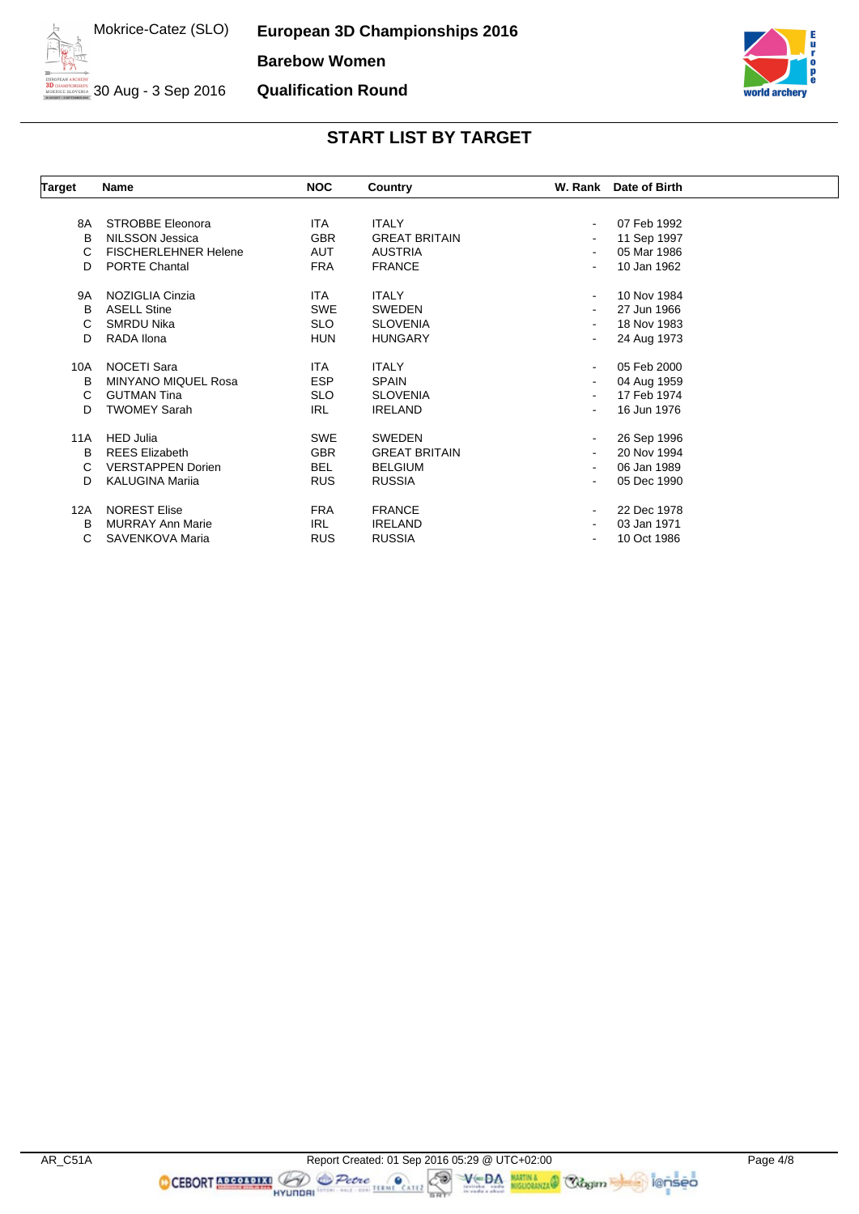**European 3D Championships 2016 Barebow Women Qualification Round**



30 Aug - 3 Sep 2016



| Target | Name                        | <b>NOC</b> | Country              |                              | W. Rank Date of Birth |  |
|--------|-----------------------------|------------|----------------------|------------------------------|-----------------------|--|
|        |                             |            |                      |                              |                       |  |
| 8A     | <b>STROBBE Eleonora</b>     | ITA.       | <b>ITALY</b>         | $\blacksquare$               | 07 Feb 1992           |  |
| B      | NILSSON Jessica             | <b>GBR</b> | <b>GREAT BRITAIN</b> | $\blacksquare$               | 11 Sep 1997           |  |
| C      | <b>FISCHERLEHNER Helene</b> | AUT        | <b>AUSTRIA</b>       | $\blacksquare$               | 05 Mar 1986           |  |
| D      | <b>PORTE Chantal</b>        | <b>FRA</b> | <b>FRANCE</b>        |                              | 10 Jan 1962           |  |
| 9A     | NOZIGLIA Cinzia             | ITA.       | <b>ITALY</b>         | $\blacksquare$               | 10 Nov 1984           |  |
| B      | <b>ASELL Stine</b>          | <b>SWE</b> | SWEDEN               | ٠                            | 27 Jun 1966           |  |
| C      | <b>SMRDU Nika</b>           | <b>SLO</b> | <b>SLOVENIA</b>      |                              | 18 Nov 1983           |  |
| D      | RADA Ilona                  | <b>HUN</b> | <b>HUNGARY</b>       | $\qquad \qquad \blacksquare$ | 24 Aug 1973           |  |
| 10A    | <b>NOCETI Sara</b>          | ITA        | <b>ITALY</b>         | $\blacksquare$               | 05 Feb 2000           |  |
| B      | <b>MINYANO MIQUEL Rosa</b>  | <b>ESP</b> | <b>SPAIN</b>         | $\overline{\phantom{0}}$     | 04 Aug 1959           |  |
| C      | <b>GUTMAN Tina</b>          | <b>SLO</b> | <b>SLOVENIA</b>      | $\blacksquare$               | 17 Feb 1974           |  |
| D      | <b>TWOMEY Sarah</b>         | IRL        | <b>IRELAND</b>       | ٠                            | 16 Jun 1976           |  |
| 11A    | <b>HED Julia</b>            | <b>SWE</b> | <b>SWEDEN</b>        | $\blacksquare$               | 26 Sep 1996           |  |
| B      | <b>REES Elizabeth</b>       | <b>GBR</b> | <b>GREAT BRITAIN</b> | $\blacksquare$               | 20 Nov 1994           |  |
| C      | <b>VERSTAPPEN Dorien</b>    | <b>BEL</b> | <b>BELGIUM</b>       |                              | 06 Jan 1989           |  |
| D      | <b>KALUGINA Marija</b>      | <b>RUS</b> | <b>RUSSIA</b>        |                              | 05 Dec 1990           |  |
| 12A    | <b>NOREST Elise</b>         | <b>FRA</b> | <b>FRANCE</b>        | $\blacksquare$               | 22 Dec 1978           |  |
| в      | <b>MURRAY Ann Marie</b>     | <b>IRL</b> | <b>IRELAND</b>       |                              | 03 Jan 1971           |  |
| C      | SAVENKOVA Maria             | <b>RUS</b> | <b>RUSSIA</b>        | $\qquad \qquad \blacksquare$ | 10 Oct 1986           |  |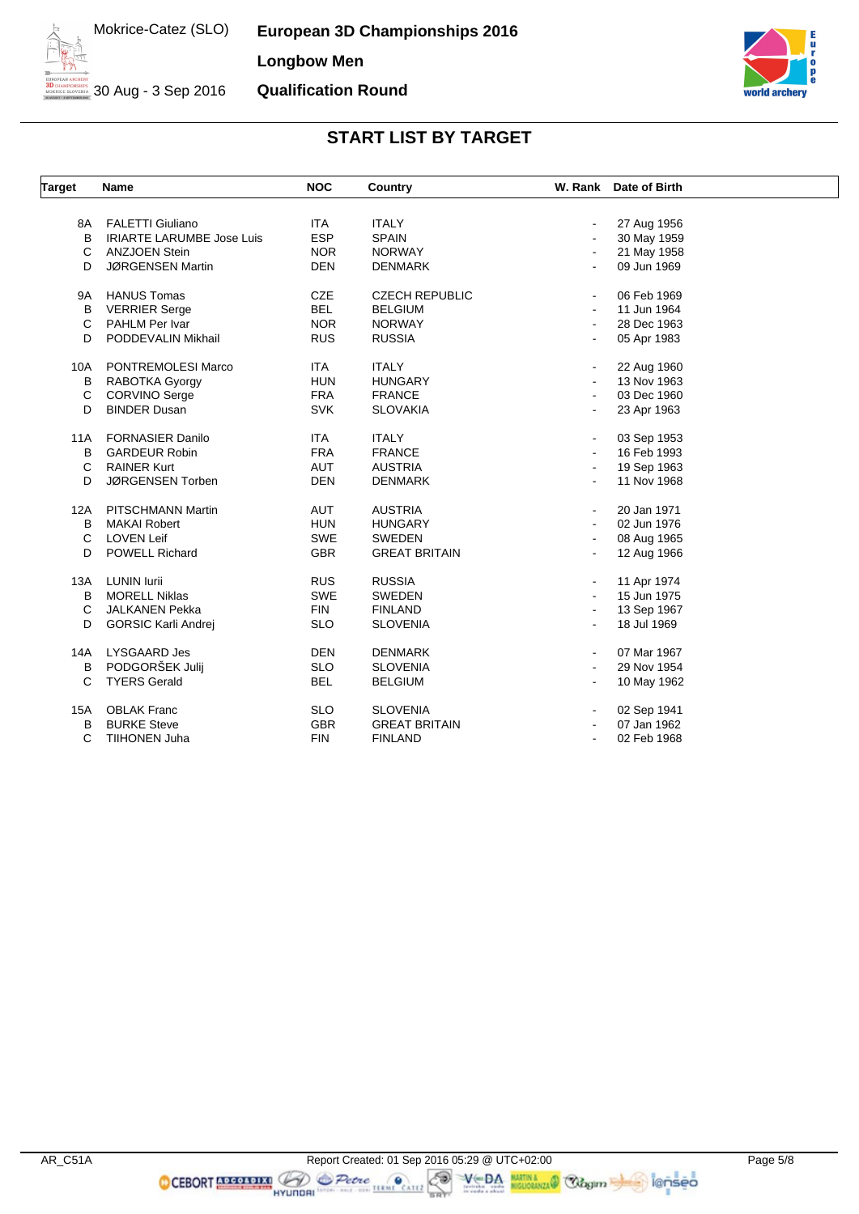**European 3D Championships 2016 Longbow Men Qualification Round**



30 Aug - 3 Sep 2016

## **START LIST BY TARGET**

| <b>Target</b> | Name                             | <b>NOC</b> | Country               |                | W. Rank Date of Birth |  |
|---------------|----------------------------------|------------|-----------------------|----------------|-----------------------|--|
|               |                                  |            |                       |                |                       |  |
| 8A            | <b>FALETTI Giuliano</b>          | <b>ITA</b> | <b>ITALY</b>          | $\frac{1}{2}$  | 27 Aug 1956           |  |
| B             | <b>IRIARTE LARUMBE Jose Luis</b> | <b>ESP</b> | <b>SPAIN</b>          | $\blacksquare$ | 30 May 1959           |  |
| C             | <b>ANZJOEN Stein</b>             | <b>NOR</b> | <b>NORWAY</b>         | $\blacksquare$ | 21 May 1958           |  |
| D             | JØRGENSEN Martin                 | <b>DEN</b> | <b>DENMARK</b>        | $\blacksquare$ | 09 Jun 1969           |  |
| 9A            | <b>HANUS Tomas</b>               | <b>CZE</b> | <b>CZECH REPUBLIC</b> | $\blacksquare$ | 06 Feb 1969           |  |
| В             | <b>VERRIER Serge</b>             | <b>BEL</b> | <b>BELGIUM</b>        | $\blacksquare$ | 11 Jun 1964           |  |
| $\mathsf{C}$  | PAHLM Per Ivar                   | <b>NOR</b> | <b>NORWAY</b>         | $\blacksquare$ | 28 Dec 1963           |  |
| D             | PODDEVALIN Mikhail               | <b>RUS</b> | <b>RUSSIA</b>         | $\blacksquare$ | 05 Apr 1983           |  |
| 10A           | PONTREMOLESI Marco               | <b>ITA</b> | <b>ITALY</b>          | $\blacksquare$ | 22 Aug 1960           |  |
| B             | RABOTKA Gyorgy                   | <b>HUN</b> | <b>HUNGARY</b>        |                | 13 Nov 1963           |  |
| C             | CORVINO Serge                    | <b>FRA</b> | <b>FRANCE</b>         | $\blacksquare$ | 03 Dec 1960           |  |
| D             | <b>BINDER Dusan</b>              | <b>SVK</b> | <b>SLOVAKIA</b>       | ۰              | 23 Apr 1963           |  |
| 11A           | <b>FORNASIER Danilo</b>          | <b>ITA</b> | <b>ITALY</b>          | $\blacksquare$ | 03 Sep 1953           |  |
| B             | <b>GARDEUR Robin</b>             | <b>FRA</b> | <b>FRANCE</b>         | $\blacksquare$ | 16 Feb 1993           |  |
| C             | <b>RAINER Kurt</b>               | <b>AUT</b> | <b>AUSTRIA</b>        | $\blacksquare$ | 19 Sep 1963           |  |
| D             | JØRGENSEN Torben                 | <b>DEN</b> | <b>DENMARK</b>        | ä,             | 11 Nov 1968           |  |
| 12A           | <b>PITSCHMANN Martin</b>         | AUT        | <b>AUSTRIA</b>        |                | 20 Jan 1971           |  |
| B             | <b>MAKAI Robert</b>              | <b>HUN</b> | <b>HUNGARY</b>        | $\blacksquare$ | 02 Jun 1976           |  |
| C             | <b>LOVEN Leif</b>                | <b>SWE</b> | <b>SWEDEN</b>         | $\blacksquare$ | 08 Aug 1965           |  |
| D             | <b>POWELL Richard</b>            | <b>GBR</b> | <b>GREAT BRITAIN</b>  | $\overline{a}$ | 12 Aug 1966           |  |
| 13A           | <b>LUNIN lurii</b>               | <b>RUS</b> | <b>RUSSIA</b>         | $\blacksquare$ | 11 Apr 1974           |  |
| B             | <b>MORELL Niklas</b>             | <b>SWE</b> | <b>SWEDEN</b>         | $\blacksquare$ | 15 Jun 1975           |  |
| C             | <b>JALKANEN Pekka</b>            | <b>FIN</b> | <b>FINLAND</b>        | $\blacksquare$ | 13 Sep 1967           |  |
| D             | <b>GORSIC Karli Andrej</b>       | <b>SLO</b> | <b>SLOVENIA</b>       | $\blacksquare$ | 18 Jul 1969           |  |
| 14A           | <b>LYSGAARD Jes</b>              | <b>DEN</b> | <b>DENMARK</b>        | $\blacksquare$ | 07 Mar 1967           |  |
| B             | PODGORŠEK Julij                  | <b>SLO</b> | <b>SLOVENIA</b>       | ۰              | 29 Nov 1954           |  |
| C             | <b>TYERS Gerald</b>              | <b>BEL</b> | <b>BELGIUM</b>        | ۰              | 10 May 1962           |  |
| 15A           | <b>OBLAK Franc</b>               | <b>SLO</b> | <b>SLOVENIA</b>       | $\blacksquare$ | 02 Sep 1941           |  |
| B             | <b>BURKE Steve</b>               | <b>GBR</b> | <b>GREAT BRITAIN</b>  |                | 07 Jan 1962           |  |
| $\mathsf{C}$  | TIIHONEN Juha                    | <b>FIN</b> | <b>FINLAND</b>        | $\blacksquare$ | 02 Feb 1968           |  |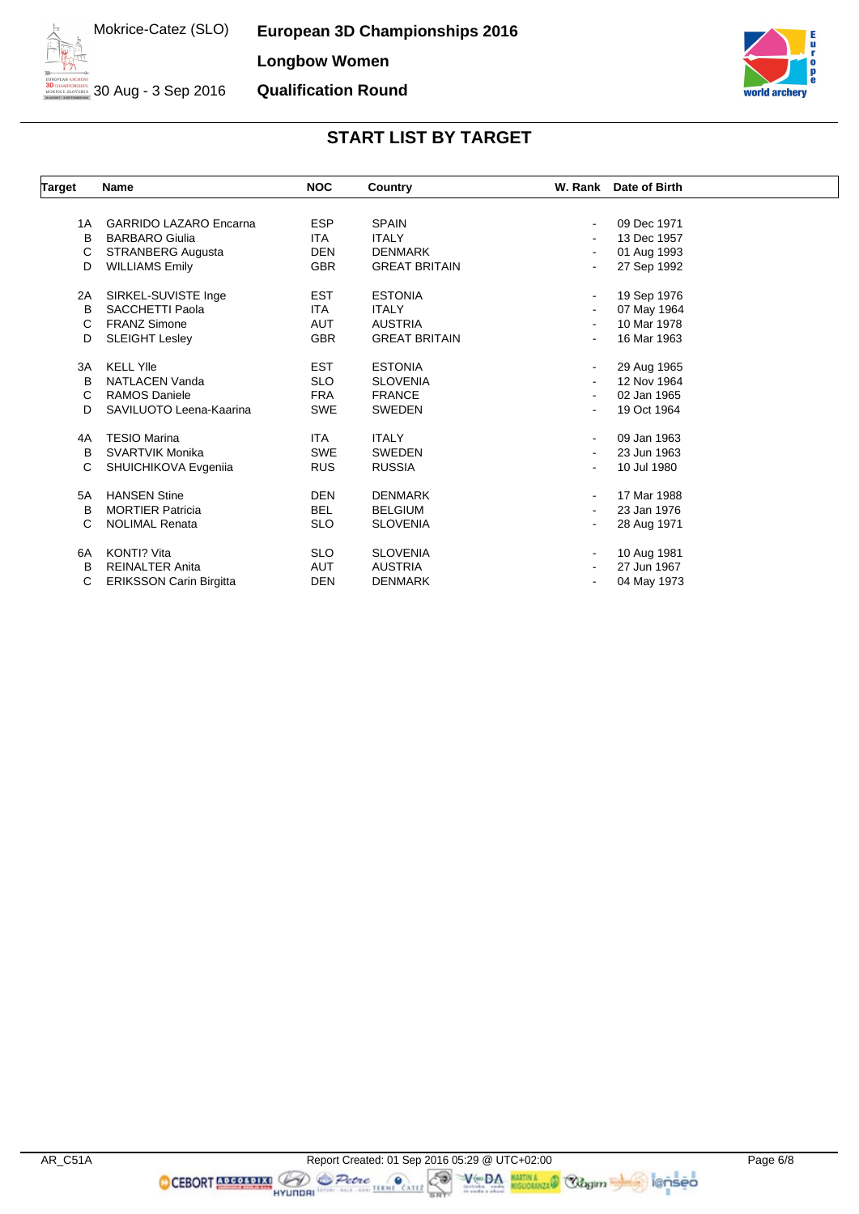**European 3D Championships 2016 Longbow Women Qualification Round**



30 Aug - 3 Sep 2016

| <b>Target</b> | <b>Name</b>                    | <b>NOC</b> | Country              |                          | W. Rank Date of Birth |
|---------------|--------------------------------|------------|----------------------|--------------------------|-----------------------|
|               |                                |            |                      |                          |                       |
| 1A            | <b>GARRIDO LAZARO Encarna</b>  | <b>ESP</b> | <b>SPAIN</b>         | $\overline{\phantom{a}}$ | 09 Dec 1971           |
| в             | <b>BARBARO Giulia</b>          | ITA.       | <b>ITALY</b>         |                          | 13 Dec 1957           |
| C             | <b>STRANBERG Augusta</b>       | <b>DEN</b> | <b>DENMARK</b>       |                          | 01 Aug 1993           |
| D             | <b>WILLIAMS Emily</b>          | <b>GBR</b> | <b>GREAT BRITAIN</b> |                          | 27 Sep 1992           |
| 2A            | SIRKEL-SUVISTE Inge            | <b>EST</b> | <b>ESTONIA</b>       | $\blacksquare$           | 19 Sep 1976           |
| B             | <b>SACCHETTI Paola</b>         | <b>ITA</b> | <b>ITALY</b>         |                          | 07 May 1964           |
| C             | <b>FRANZ Simone</b>            | <b>AUT</b> | <b>AUSTRIA</b>       |                          | 10 Mar 1978           |
| D             | <b>SLEIGHT Lesley</b>          | <b>GBR</b> | <b>GREAT BRITAIN</b> |                          | 16 Mar 1963           |
| 3A            | <b>KELL YIIe</b>               | <b>EST</b> | <b>ESTONIA</b>       | $\blacksquare$           | 29 Aug 1965           |
| B             | <b>NATLACEN Vanda</b>          | <b>SLO</b> | <b>SLOVENIA</b>      |                          | 12 Nov 1964           |
| С             | <b>RAMOS Daniele</b>           | <b>FRA</b> | <b>FRANCE</b>        |                          | 02 Jan 1965           |
| D             | SAVILUOTO Leena-Kaarina        | <b>SWE</b> | <b>SWEDEN</b>        |                          | 19 Oct 1964           |
| 4A            | <b>TESIO Marina</b>            | <b>ITA</b> | <b>ITALY</b>         | $\sim$                   | 09 Jan 1963           |
| B             | <b>SVARTVIK Monika</b>         | <b>SWE</b> | <b>SWEDEN</b>        |                          | 23 Jun 1963           |
| C             | SHUICHIKOVA Evgenija           | <b>RUS</b> | <b>RUSSIA</b>        |                          | 10 Jul 1980           |
| 5A            | <b>HANSEN Stine</b>            | <b>DEN</b> | <b>DENMARK</b>       | $\sim$                   | 17 Mar 1988           |
| B             | <b>MORTIER Patricia</b>        | <b>BEL</b> | <b>BELGIUM</b>       | $\blacksquare$           | 23 Jan 1976           |
| С             | <b>NOLIMAL Renata</b>          | <b>SLO</b> | <b>SLOVENIA</b>      |                          | 28 Aug 1971           |
| 6A            | KONTI? Vita                    | <b>SLO</b> | <b>SLOVENIA</b>      | $\blacksquare$           | 10 Aug 1981           |
| в             | <b>REINALTER Anita</b>         | <b>AUT</b> | <b>AUSTRIA</b>       |                          | 27 Jun 1967           |
| С             | <b>ERIKSSON Carin Birgitta</b> | DEN        | <b>DENMARK</b>       |                          | 04 May 1973           |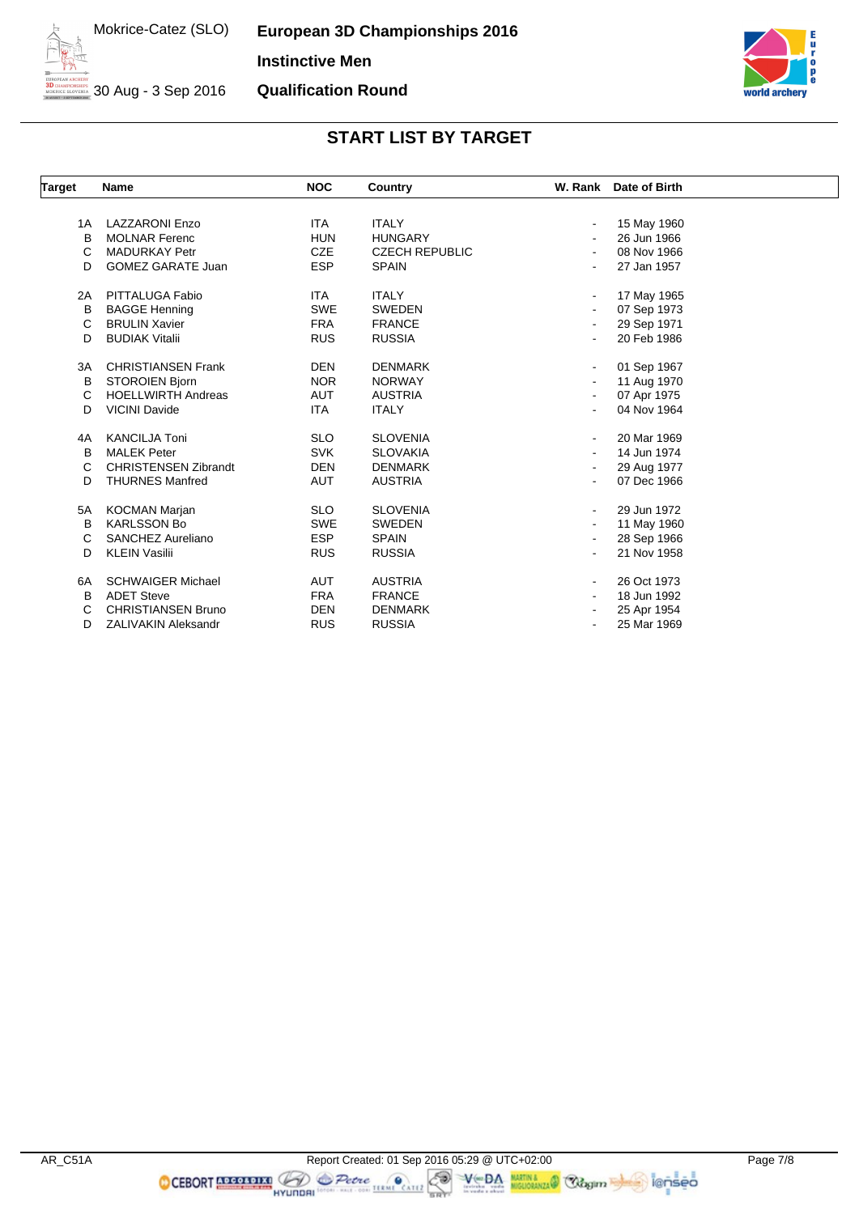**European 3D Championships 2016 Instinctive Men Qualification Round**



30 Aug - 3 Sep 2016

## **START LIST BY TARGET**

| Target | <b>Name</b>                 | <b>NOC</b> | Country               | W. Rank Date of Birth |  |
|--------|-----------------------------|------------|-----------------------|-----------------------|--|
|        |                             |            |                       |                       |  |
| 1A     | <b>LAZZARONI Enzo</b>       | ITA.       | <b>ITALY</b>          | 15 May 1960           |  |
| B      | <b>MOLNAR Ferenc</b>        | <b>HUN</b> | <b>HUNGARY</b>        | 26 Jun 1966           |  |
| С      | <b>MADURKAY Petr</b>        | <b>CZE</b> | <b>CZECH REPUBLIC</b> | 08 Nov 1966           |  |
| D      | <b>GOMEZ GARATE Juan</b>    | <b>ESP</b> | <b>SPAIN</b>          | 27 Jan 1957           |  |
| 2A     | PITTALUGA Fabio             | <b>ITA</b> | <b>ITALY</b>          | 17 May 1965           |  |
| B      | <b>BAGGE Henning</b>        | <b>SWE</b> | <b>SWEDEN</b>         | 07 Sep 1973           |  |
| С      | <b>BRULIN Xavier</b>        | <b>FRA</b> | <b>FRANCE</b>         | 29 Sep 1971           |  |
| D      | <b>BUDIAK Vitalii</b>       | <b>RUS</b> | <b>RUSSIA</b>         | 20 Feb 1986           |  |
| 3A     | <b>CHRISTIANSEN Frank</b>   | <b>DEN</b> | <b>DENMARK</b>        | 01 Sep 1967           |  |
| В      | STOROIEN Bjorn              | <b>NOR</b> | <b>NORWAY</b>         | 11 Aug 1970           |  |
| C      | <b>HOELLWIRTH Andreas</b>   | <b>AUT</b> | <b>AUSTRIA</b>        | 07 Apr 1975           |  |
| D      | <b>VICINI Davide</b>        | ITA        | <b>ITALY</b>          | 04 Nov 1964           |  |
| 4A     | <b>KANCILJA Toni</b>        | <b>SLO</b> | <b>SLOVENIA</b>       | 20 Mar 1969           |  |
| B      | <b>MALEK Peter</b>          | <b>SVK</b> | <b>SLOVAKIA</b>       | 14 Jun 1974           |  |
| C      | <b>CHRISTENSEN Zibrandt</b> | <b>DEN</b> | <b>DENMARK</b>        | 29 Aug 1977           |  |
| D      | <b>THURNES Manfred</b>      | AUT        | <b>AUSTRIA</b>        | 07 Dec 1966           |  |
| 5A     | <b>KOCMAN Marjan</b>        | <b>SLO</b> | <b>SLOVENIA</b>       | 29 Jun 1972           |  |
| B      | <b>KARLSSON Bo</b>          | <b>SWE</b> | SWEDEN                | 11 May 1960           |  |
| С      | SANCHEZ Aureliano           | <b>ESP</b> | <b>SPAIN</b>          | 28 Sep 1966           |  |
| D      | <b>KLEIN Vasilii</b>        | <b>RUS</b> | <b>RUSSIA</b>         | 21 Nov 1958           |  |
| 6A     | <b>SCHWAIGER Michael</b>    | AUT        | <b>AUSTRIA</b>        | 26 Oct 1973           |  |
| B      | <b>ADET Steve</b>           | <b>FRA</b> | <b>FRANCE</b>         | 18 Jun 1992           |  |
| С      | <b>CHRISTIANSEN Bruno</b>   | <b>DEN</b> | <b>DENMARK</b>        | 25 Apr 1954           |  |
| D      | <b>ZALIVAKIN Aleksandr</b>  | <b>RUS</b> | <b>RUSSIA</b>         | 25 Mar 1969           |  |